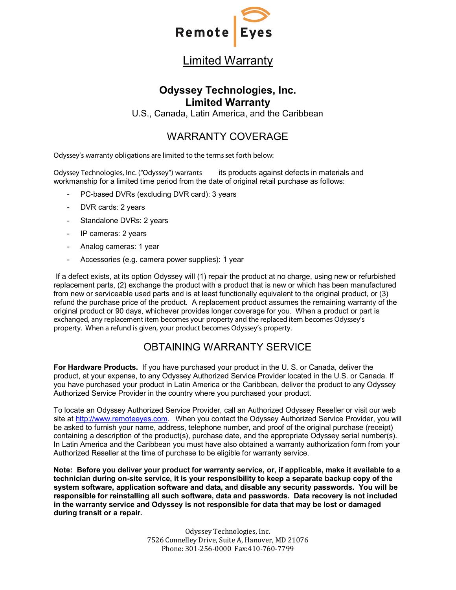

# Limited Warranty

#### **Odyssey Technologies, Inc. Limited Warranty**

U.S., Canada, Latin America, and the Caribbean

## WARRANTY COVERAGE

Odyssey's warranty obligations are limited to the terms set forth below:

Odyssey Technologies, Inc. ("Odyssey") warrants its products against defects in materials and workmanship for a limited time period from the date of original retail purchase as follows:

- PC-based DVRs (excluding DVR card): 3 years
- DVR cards: 2 years
- Standalone DVRs: 2 years
- IP cameras: 2 years
- Analog cameras: 1 year
- Accessories (e.g. camera power supplies): 1 year

If a defect exists, at its option Odyssey will (1) repair the product at no charge, using new or refurbished replacement parts, (2) exchange the product with a product that is new or which has been manufactured from new or serviceable used parts and is at least functionally equivalent to the original product, or (3) refund the purchase price of the product. A replacement product assumes the remaining warranty of the original product or 90 days, whichever provides longer coverage for you. When a product or part is exchanged, any replacement item becomes your property and the replaced item becomes Odyssey's property. When a refund is given, your product becomes Odyssey's property.

### OBTAINING WARRANTY SERVICE

**For Hardware Products.** If you have purchased your product in the U. S. or Canada, deliver the product, at your expense, to any Odyssey Authorized Service Provider located in the U.S. or Canada. If you have purchased your product in Latin America or the Caribbean, deliver the product to any Odyssey Authorized Service Provider in the country where you purchased your product.

To locate an Odyssey Authorized Service Provider, call an Authorized Odyssey Reseller or visit our web site at [http://www.remoteeyes.com.](http://www.remoteeyes.com/) When you contact the Odyssey Authorized Service Provider, you will be asked to furnish your name, address, telephone number, and proof of the original purchase (receipt) containing a description of the product(s), purchase date, and the appropriate Odyssey serial number(s). In Latin America and the Caribbean you must have also obtained a warranty authorization form from your Authorized Reseller at the time of purchase to be eligible for warranty service.

**Note: Before you deliver your product for warranty service, or, if applicable, make it available to a technician during on-site service, it is your responsibility to keep a separate backup copy of the system software, application software and data, and disable any security passwords. You will be responsible for reinstalling all such software, data and passwords. Data recovery is not included in the warranty service and Odyssey is not responsible for data that may be lost or damaged during transit or a repair.**

> Odyssey Technologies, Inc. 7526 Connelley Drive, Suite A, Hanover, MD 21076 Phone: 301-256-0000 Fax:410-760-7799